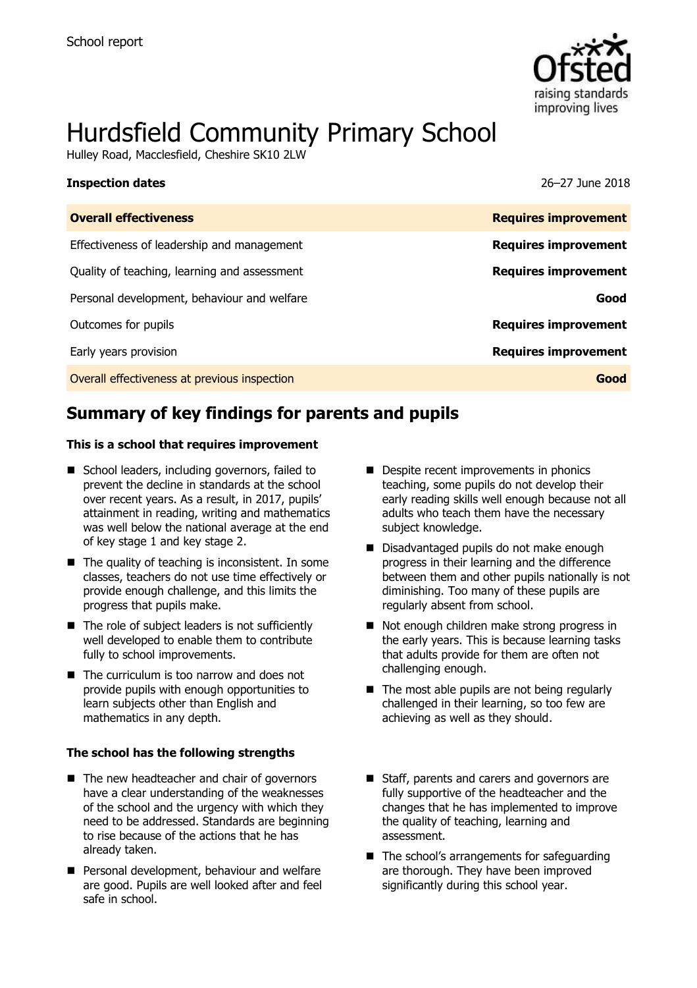

# Hurdsfield Community Primary School

Hulley Road, Macclesfield, Cheshire SK10 2LW

| <b>Inspection dates</b>                      | 26–27 June 2018             |
|----------------------------------------------|-----------------------------|
| <b>Overall effectiveness</b>                 | <b>Requires improvement</b> |
| Effectiveness of leadership and management   | <b>Requires improvement</b> |
| Quality of teaching, learning and assessment | <b>Requires improvement</b> |
| Personal development, behaviour and welfare  | Good                        |
| Outcomes for pupils                          | <b>Requires improvement</b> |
| Early years provision                        | <b>Requires improvement</b> |
| Overall effectiveness at previous inspection | Good                        |

# **Summary of key findings for parents and pupils**

#### **This is a school that requires improvement**

- School leaders, including governors, failed to prevent the decline in standards at the school over recent years. As a result, in 2017, pupils' attainment in reading, writing and mathematics was well below the national average at the end of key stage 1 and key stage 2.
- $\blacksquare$  The quality of teaching is inconsistent. In some classes, teachers do not use time effectively or provide enough challenge, and this limits the progress that pupils make.
- $\blacksquare$  The role of subject leaders is not sufficiently well developed to enable them to contribute fully to school improvements.
- The curriculum is too narrow and does not provide pupils with enough opportunities to learn subjects other than English and mathematics in any depth.

#### **The school has the following strengths**

- $\blacksquare$  The new headteacher and chair of governors have a clear understanding of the weaknesses of the school and the urgency with which they need to be addressed. Standards are beginning to rise because of the actions that he has already taken.
- Personal development, behaviour and welfare are good. Pupils are well looked after and feel safe in school.
- Despite recent improvements in phonics teaching, some pupils do not develop their early reading skills well enough because not all adults who teach them have the necessary subject knowledge.
- Disadvantaged pupils do not make enough progress in their learning and the difference between them and other pupils nationally is not diminishing. Too many of these pupils are regularly absent from school.
- Not enough children make strong progress in the early years. This is because learning tasks that adults provide for them are often not challenging enough.
- $\blacksquare$  The most able pupils are not being regularly challenged in their learning, so too few are achieving as well as they should.
- Staff, parents and carers and governors are fully supportive of the headteacher and the changes that he has implemented to improve the quality of teaching, learning and assessment.
- The school's arrangements for safeguarding are thorough. They have been improved significantly during this school year.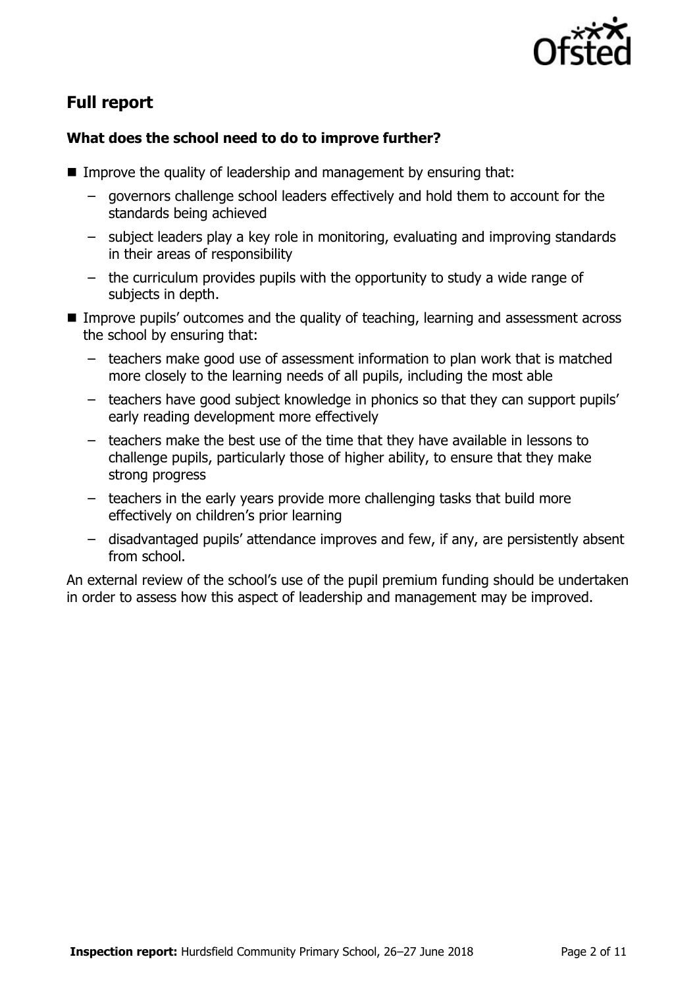

# **Full report**

### **What does the school need to do to improve further?**

- **IMPROVE the quality of leadership and management by ensuring that:** 
	- governors challenge school leaders effectively and hold them to account for the standards being achieved
	- subject leaders play a key role in monitoring, evaluating and improving standards in their areas of responsibility
	- the curriculum provides pupils with the opportunity to study a wide range of subjects in depth.
- Improve pupils' outcomes and the quality of teaching, learning and assessment across the school by ensuring that:
	- teachers make good use of assessment information to plan work that is matched more closely to the learning needs of all pupils, including the most able
	- teachers have good subject knowledge in phonics so that they can support pupils' early reading development more effectively
	- teachers make the best use of the time that they have available in lessons to challenge pupils, particularly those of higher ability, to ensure that they make strong progress
	- teachers in the early years provide more challenging tasks that build more effectively on children's prior learning
	- disadvantaged pupils' attendance improves and few, if any, are persistently absent from school.

An external review of the school's use of the pupil premium funding should be undertaken in order to assess how this aspect of leadership and management may be improved.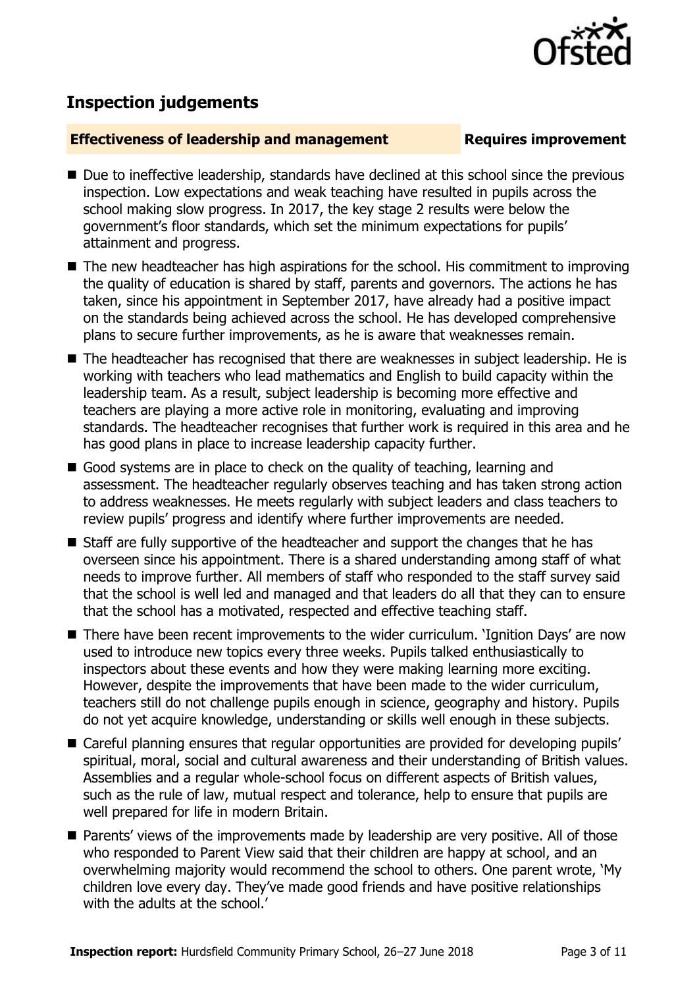

## **Inspection judgements**

#### **Effectiveness of leadership and management Requires improvement**

- Due to ineffective leadership, standards have declined at this school since the previous inspection. Low expectations and weak teaching have resulted in pupils across the school making slow progress. In 2017, the key stage 2 results were below the government's floor standards, which set the minimum expectations for pupils' attainment and progress.
- The new headteacher has high aspirations for the school. His commitment to improving the quality of education is shared by staff, parents and governors. The actions he has taken, since his appointment in September 2017, have already had a positive impact on the standards being achieved across the school. He has developed comprehensive plans to secure further improvements, as he is aware that weaknesses remain.
- The headteacher has recognised that there are weaknesses in subject leadership. He is working with teachers who lead mathematics and English to build capacity within the leadership team. As a result, subject leadership is becoming more effective and teachers are playing a more active role in monitoring, evaluating and improving standards. The headteacher recognises that further work is required in this area and he has good plans in place to increase leadership capacity further.
- Good systems are in place to check on the quality of teaching, learning and assessment. The headteacher regularly observes teaching and has taken strong action to address weaknesses. He meets regularly with subject leaders and class teachers to review pupils' progress and identify where further improvements are needed.
- Staff are fully supportive of the headteacher and support the changes that he has overseen since his appointment. There is a shared understanding among staff of what needs to improve further. All members of staff who responded to the staff survey said that the school is well led and managed and that leaders do all that they can to ensure that the school has a motivated, respected and effective teaching staff.
- There have been recent improvements to the wider curriculum. 'Ignition Days' are now used to introduce new topics every three weeks. Pupils talked enthusiastically to inspectors about these events and how they were making learning more exciting. However, despite the improvements that have been made to the wider curriculum, teachers still do not challenge pupils enough in science, geography and history. Pupils do not yet acquire knowledge, understanding or skills well enough in these subjects.
- Careful planning ensures that regular opportunities are provided for developing pupils' spiritual, moral, social and cultural awareness and their understanding of British values. Assemblies and a regular whole-school focus on different aspects of British values, such as the rule of law, mutual respect and tolerance, help to ensure that pupils are well prepared for life in modern Britain.
- Parents' views of the improvements made by leadership are very positive. All of those who responded to Parent View said that their children are happy at school, and an overwhelming majority would recommend the school to others. One parent wrote, 'My children love every day. They've made good friends and have positive relationships with the adults at the school.'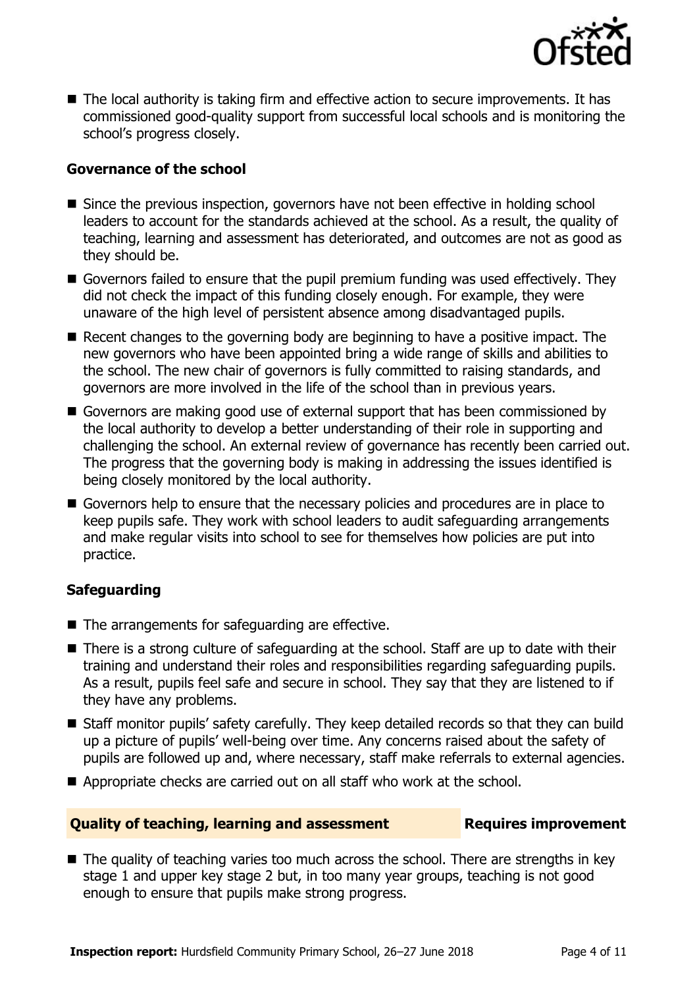

 $\blacksquare$  The local authority is taking firm and effective action to secure improvements. It has commissioned good-quality support from successful local schools and is monitoring the school's progress closely.

### **Governance of the school**

- Since the previous inspection, governors have not been effective in holding school leaders to account for the standards achieved at the school. As a result, the quality of teaching, learning and assessment has deteriorated, and outcomes are not as good as they should be.
- Governors failed to ensure that the pupil premium funding was used effectively. They did not check the impact of this funding closely enough. For example, they were unaware of the high level of persistent absence among disadvantaged pupils.
- Recent changes to the governing body are beginning to have a positive impact. The new governors who have been appointed bring a wide range of skills and abilities to the school. The new chair of governors is fully committed to raising standards, and governors are more involved in the life of the school than in previous years.
- Governors are making good use of external support that has been commissioned by the local authority to develop a better understanding of their role in supporting and challenging the school. An external review of governance has recently been carried out. The progress that the governing body is making in addressing the issues identified is being closely monitored by the local authority.
- Governors help to ensure that the necessary policies and procedures are in place to keep pupils safe. They work with school leaders to audit safeguarding arrangements and make regular visits into school to see for themselves how policies are put into practice.

### **Safeguarding**

- $\blacksquare$  The arrangements for safeguarding are effective.
- There is a strong culture of safeguarding at the school. Staff are up to date with their training and understand their roles and responsibilities regarding safeguarding pupils. As a result, pupils feel safe and secure in school. They say that they are listened to if they have any problems.
- Staff monitor pupils' safety carefully. They keep detailed records so that they can build up a picture of pupils' well-being over time. Any concerns raised about the safety of pupils are followed up and, where necessary, staff make referrals to external agencies.
- Appropriate checks are carried out on all staff who work at the school.

#### **Quality of teaching, learning and assessment Figures improvement**

■ The quality of teaching varies too much across the school. There are strengths in key stage 1 and upper key stage 2 but, in too many year groups, teaching is not good enough to ensure that pupils make strong progress.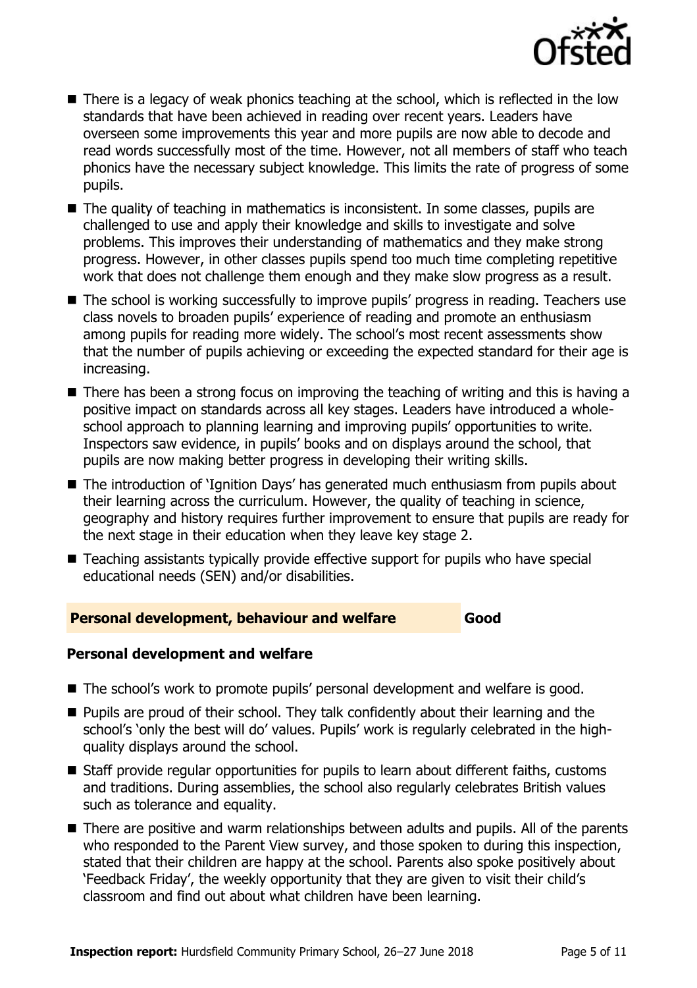

- There is a legacy of weak phonics teaching at the school, which is reflected in the low standards that have been achieved in reading over recent years. Leaders have overseen some improvements this year and more pupils are now able to decode and read words successfully most of the time. However, not all members of staff who teach phonics have the necessary subject knowledge. This limits the rate of progress of some pupils.
- The quality of teaching in mathematics is inconsistent. In some classes, pupils are challenged to use and apply their knowledge and skills to investigate and solve problems. This improves their understanding of mathematics and they make strong progress. However, in other classes pupils spend too much time completing repetitive work that does not challenge them enough and they make slow progress as a result.
- The school is working successfully to improve pupils' progress in reading. Teachers use class novels to broaden pupils' experience of reading and promote an enthusiasm among pupils for reading more widely. The school's most recent assessments show that the number of pupils achieving or exceeding the expected standard for their age is increasing.
- There has been a strong focus on improving the teaching of writing and this is having a positive impact on standards across all key stages. Leaders have introduced a wholeschool approach to planning learning and improving pupils' opportunities to write. Inspectors saw evidence, in pupils' books and on displays around the school, that pupils are now making better progress in developing their writing skills.
- The introduction of 'Ignition Days' has generated much enthusiasm from pupils about their learning across the curriculum. However, the quality of teaching in science, geography and history requires further improvement to ensure that pupils are ready for the next stage in their education when they leave key stage 2.
- Teaching assistants typically provide effective support for pupils who have special educational needs (SEN) and/or disabilities.

#### **Personal development, behaviour and welfare Good**

#### **Personal development and welfare**

- The school's work to promote pupils' personal development and welfare is good.
- **Pupils are proud of their school. They talk confidently about their learning and the** school's 'only the best will do' values. Pupils' work is regularly celebrated in the highquality displays around the school.
- Staff provide regular opportunities for pupils to learn about different faiths, customs and traditions. During assemblies, the school also regularly celebrates British values such as tolerance and equality.
- There are positive and warm relationships between adults and pupils. All of the parents who responded to the Parent View survey, and those spoken to during this inspection, stated that their children are happy at the school. Parents also spoke positively about 'Feedback Friday', the weekly opportunity that they are given to visit their child's classroom and find out about what children have been learning.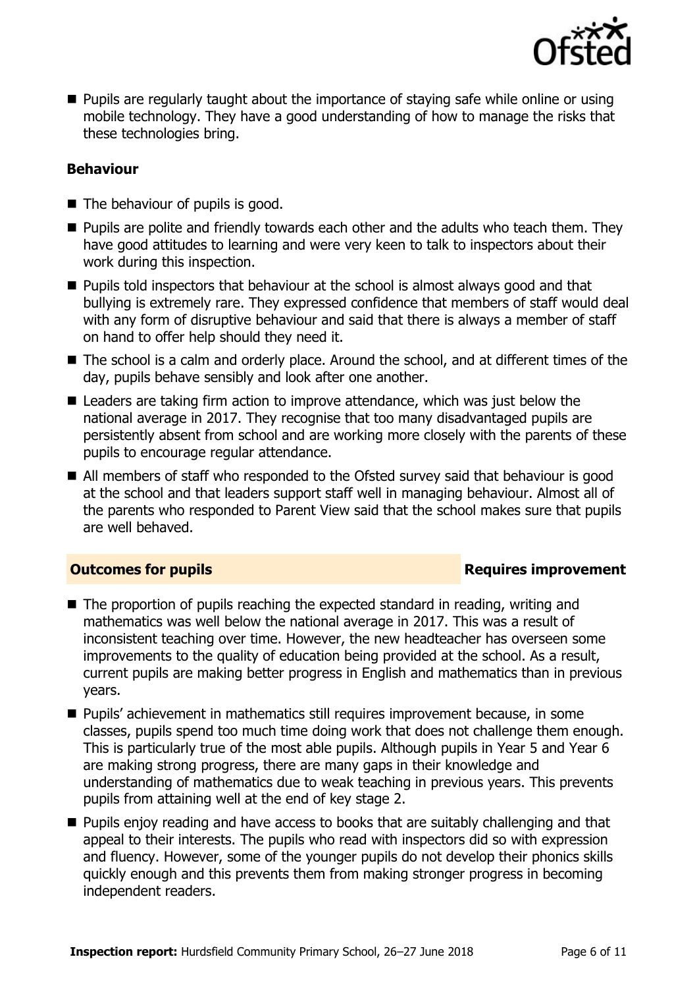

**Pupils are regularly taught about the importance of staying safe while online or using** mobile technology. They have a good understanding of how to manage the risks that these technologies bring.

### **Behaviour**

- The behaviour of pupils is good.
- **Pupils are polite and friendly towards each other and the adults who teach them. They** have good attitudes to learning and were very keen to talk to inspectors about their work during this inspection.
- **Pupils told inspectors that behaviour at the school is almost always good and that** bullying is extremely rare. They expressed confidence that members of staff would deal with any form of disruptive behaviour and said that there is always a member of staff on hand to offer help should they need it.
- The school is a calm and orderly place. Around the school, and at different times of the day, pupils behave sensibly and look after one another.
- Leaders are taking firm action to improve attendance, which was just below the national average in 2017. They recognise that too many disadvantaged pupils are persistently absent from school and are working more closely with the parents of these pupils to encourage regular attendance.
- All members of staff who responded to the Ofsted survey said that behaviour is good at the school and that leaders support staff well in managing behaviour. Almost all of the parents who responded to Parent View said that the school makes sure that pupils are well behaved.

#### **Outcomes for pupils Requires improvement**

- The proportion of pupils reaching the expected standard in reading, writing and mathematics was well below the national average in 2017. This was a result of inconsistent teaching over time. However, the new headteacher has overseen some improvements to the quality of education being provided at the school. As a result, current pupils are making better progress in English and mathematics than in previous years.
- **Pupils'** achievement in mathematics still requires improvement because, in some classes, pupils spend too much time doing work that does not challenge them enough. This is particularly true of the most able pupils. Although pupils in Year 5 and Year 6 are making strong progress, there are many gaps in their knowledge and understanding of mathematics due to weak teaching in previous years. This prevents pupils from attaining well at the end of key stage 2.
- **Pupils enjoy reading and have access to books that are suitably challenging and that** appeal to their interests. The pupils who read with inspectors did so with expression and fluency. However, some of the younger pupils do not develop their phonics skills quickly enough and this prevents them from making stronger progress in becoming independent readers.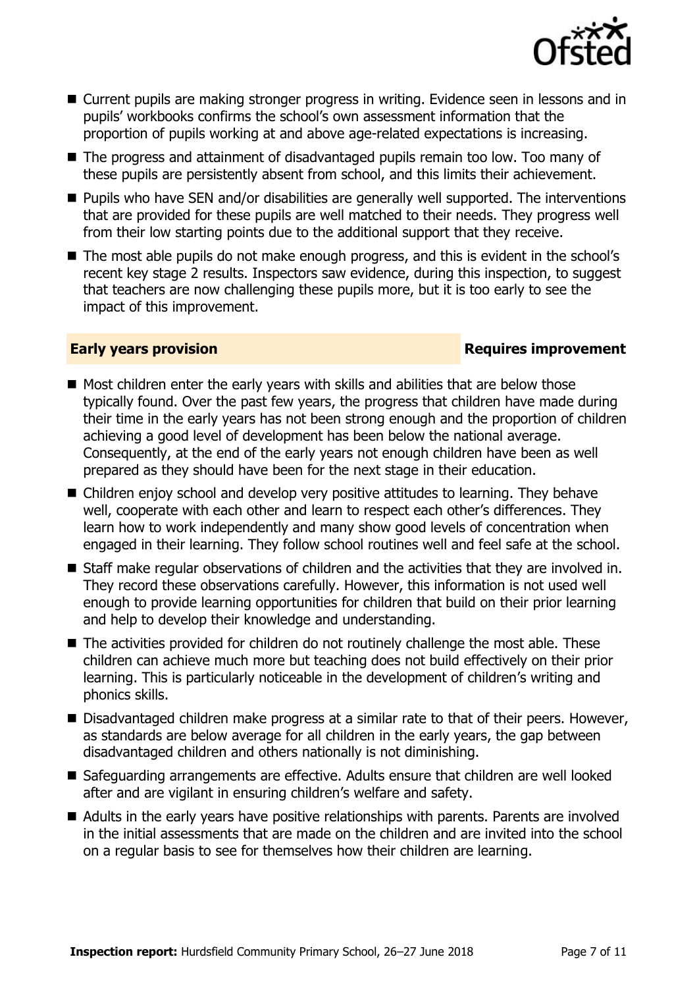

- Current pupils are making stronger progress in writing. Evidence seen in lessons and in pupils' workbooks confirms the school's own assessment information that the proportion of pupils working at and above age-related expectations is increasing.
- The progress and attainment of disadvantaged pupils remain too low. Too many of these pupils are persistently absent from school, and this limits their achievement.
- **Pupils who have SEN and/or disabilities are generally well supported. The interventions** that are provided for these pupils are well matched to their needs. They progress well from their low starting points due to the additional support that they receive.
- The most able pupils do not make enough progress, and this is evident in the school's recent key stage 2 results. Inspectors saw evidence, during this inspection, to suggest that teachers are now challenging these pupils more, but it is too early to see the impact of this improvement.

#### **Early years provision**

- $\blacksquare$  Most children enter the early years with skills and abilities that are below those typically found. Over the past few years, the progress that children have made during their time in the early years has not been strong enough and the proportion of children achieving a good level of development has been below the national average. Consequently, at the end of the early years not enough children have been as well prepared as they should have been for the next stage in their education.
- Children enjoy school and develop very positive attitudes to learning. They behave well, cooperate with each other and learn to respect each other's differences. They learn how to work independently and many show good levels of concentration when engaged in their learning. They follow school routines well and feel safe at the school.
- Staff make regular observations of children and the activities that they are involved in. They record these observations carefully. However, this information is not used well enough to provide learning opportunities for children that build on their prior learning and help to develop their knowledge and understanding.
- The activities provided for children do not routinely challenge the most able. These children can achieve much more but teaching does not build effectively on their prior learning. This is particularly noticeable in the development of children's writing and phonics skills.
- Disadvantaged children make progress at a similar rate to that of their peers. However, as standards are below average for all children in the early years, the gap between disadvantaged children and others nationally is not diminishing.
- Safeguarding arrangements are effective. Adults ensure that children are well looked after and are vigilant in ensuring children's welfare and safety.
- Adults in the early years have positive relationships with parents. Parents are involved in the initial assessments that are made on the children and are invited into the school on a regular basis to see for themselves how their children are learning.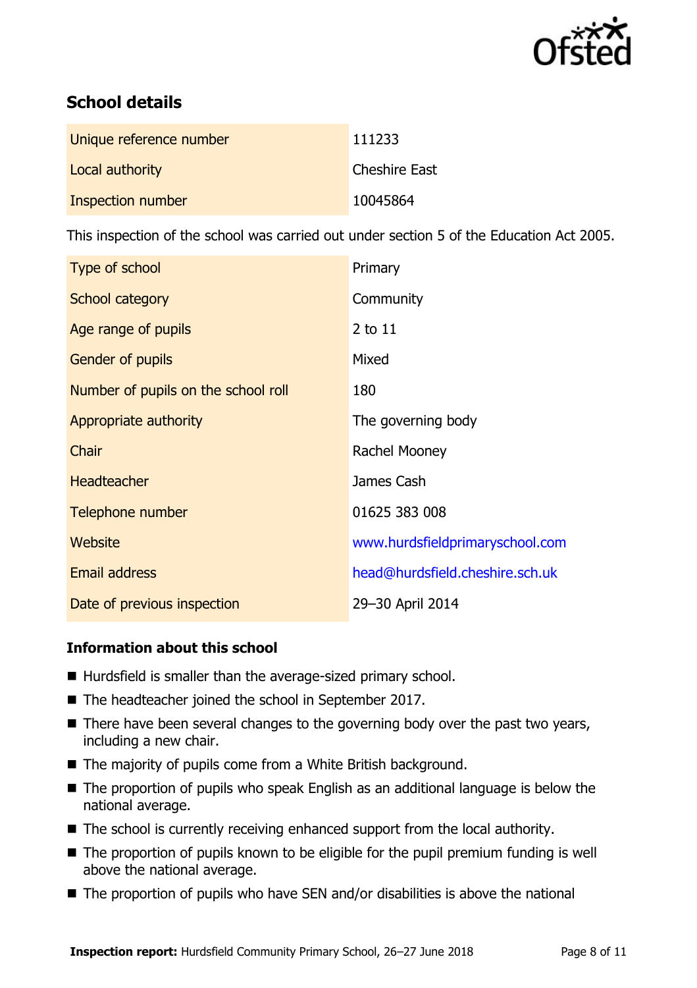

# **School details**

| Unique reference number | 111233               |
|-------------------------|----------------------|
| Local authority         | <b>Cheshire East</b> |
| Inspection number       | 10045864             |

This inspection of the school was carried out under section 5 of the Education Act 2005.

| Type of school                      | Primary                         |
|-------------------------------------|---------------------------------|
| School category                     | Community                       |
| Age range of pupils                 | 2 to 11                         |
| Gender of pupils                    | Mixed                           |
| Number of pupils on the school roll | 180                             |
| Appropriate authority               | The governing body              |
| Chair                               | Rachel Mooney                   |
| <b>Headteacher</b>                  | James Cash                      |
| Telephone number                    | 01625 383 008                   |
| <b>Website</b>                      | www.hurdsfieldprimaryschool.com |
| Email address                       | head@hurdsfield.cheshire.sch.uk |
| Date of previous inspection         | 29-30 April 2014                |

#### **Information about this school**

- Hurdsfield is smaller than the average-sized primary school.
- The headteacher joined the school in September 2017.
- There have been several changes to the governing body over the past two years, including a new chair.
- The majority of pupils come from a White British background.
- The proportion of pupils who speak English as an additional language is below the national average.
- The school is currently receiving enhanced support from the local authority.
- The proportion of pupils known to be eligible for the pupil premium funding is well above the national average.
- $\blacksquare$  The proportion of pupils who have SEN and/or disabilities is above the national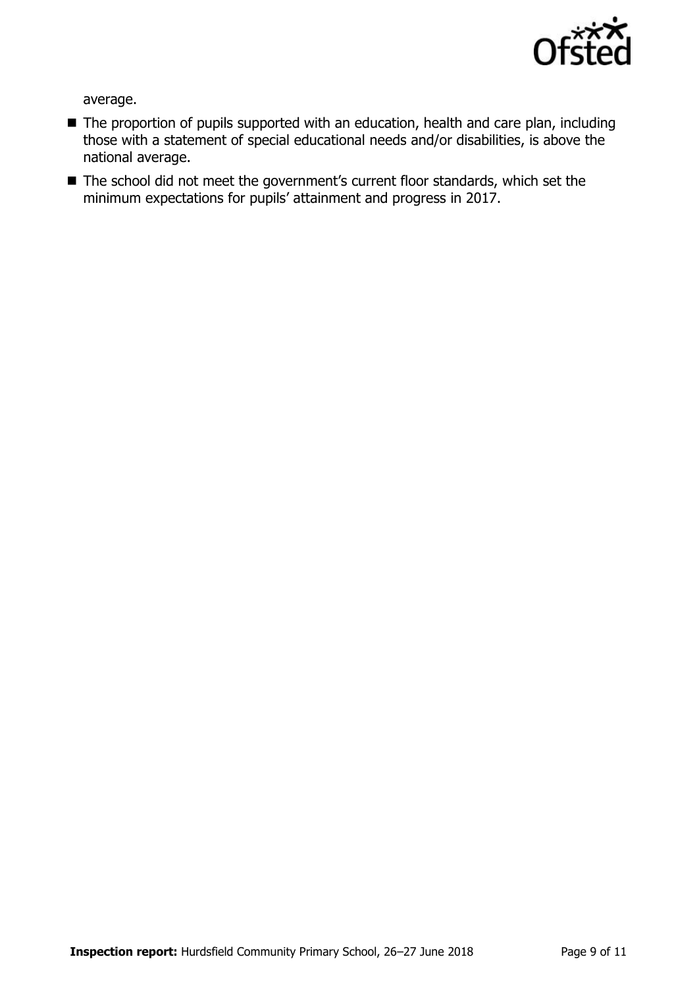

average.

- The proportion of pupils supported with an education, health and care plan, including those with a statement of special educational needs and/or disabilities, is above the national average.
- The school did not meet the government's current floor standards, which set the minimum expectations for pupils' attainment and progress in 2017.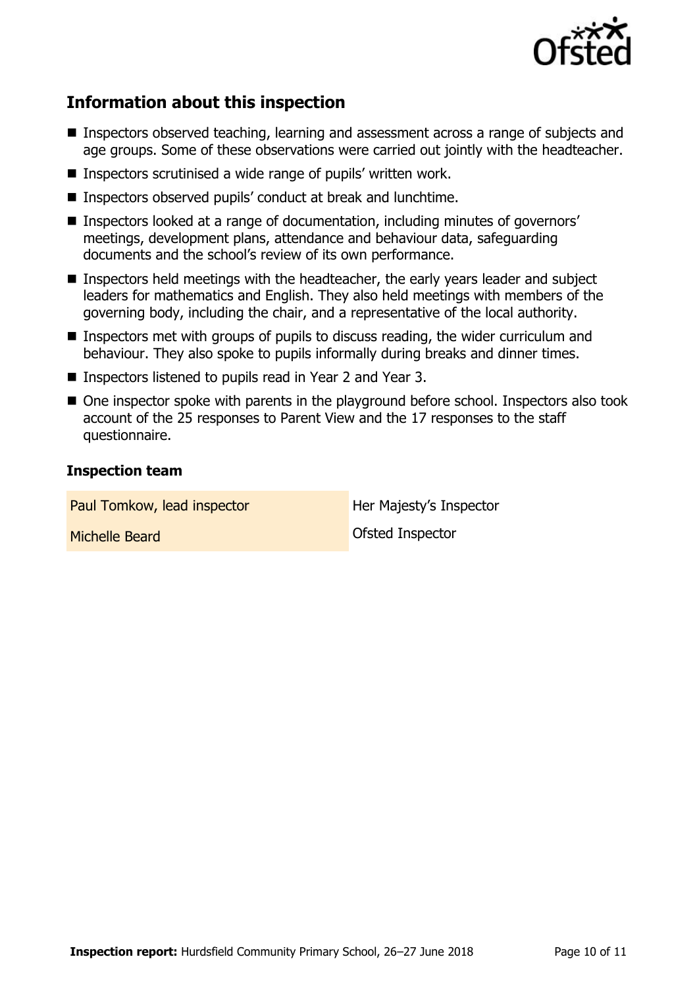

# **Information about this inspection**

- Inspectors observed teaching, learning and assessment across a range of subjects and age groups. Some of these observations were carried out jointly with the headteacher.
- Inspectors scrutinised a wide range of pupils' written work.
- Inspectors observed pupils' conduct at break and lunchtime.
- Inspectors looked at a range of documentation, including minutes of governors' meetings, development plans, attendance and behaviour data, safeguarding documents and the school's review of its own performance.
- Inspectors held meetings with the headteacher, the early years leader and subject leaders for mathematics and English. They also held meetings with members of the governing body, including the chair, and a representative of the local authority.
- Inspectors met with groups of pupils to discuss reading, the wider curriculum and behaviour. They also spoke to pupils informally during breaks and dinner times.
- Inspectors listened to pupils read in Year 2 and Year 3.
- One inspector spoke with parents in the playground before school. Inspectors also took account of the 25 responses to Parent View and the 17 responses to the staff questionnaire.

#### **Inspection team**

Paul Tomkow, lead inspector **Her Majesty's Inspector Michelle Beard Contract Contract Contract Contract Contract Contract Contract Contract Contract Contract Contract Contract Contract Contract Contract Contract Contract Contract Contract Contract Contract Contract Contract**